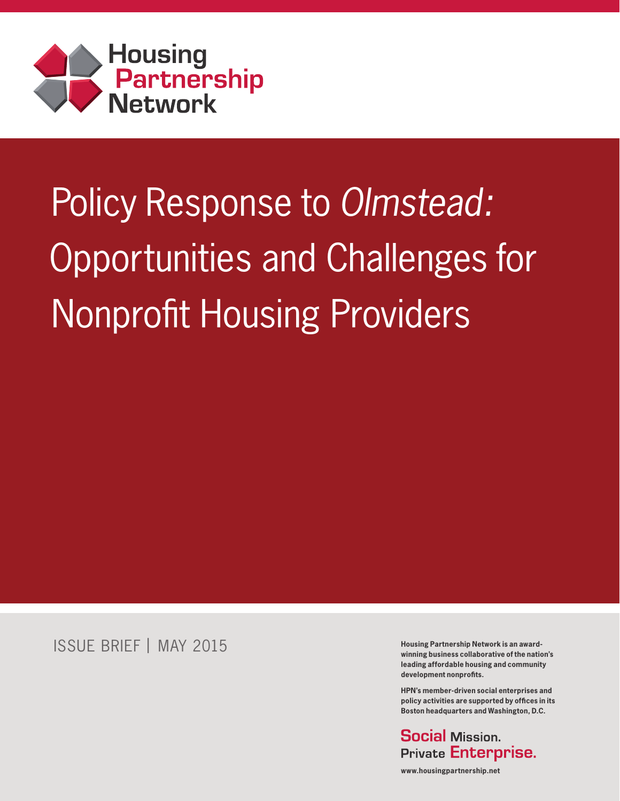

# Policy Response to Olmstead: Opportunities and Challenges for Nonprofit Housing Providers

ISSUE BRIEF | MAY 2015

**Housing Partnership Network is an awardwinning business collaborative of the nation's leading affordable housing and community development nonprofits.**

**HPN's member-driven social enterprises and policy activities are supported by offices in its Boston headquarters and Washington, D.C.**

**Social Mission. Private Enterprise.** 

**www.housingpartnership.net**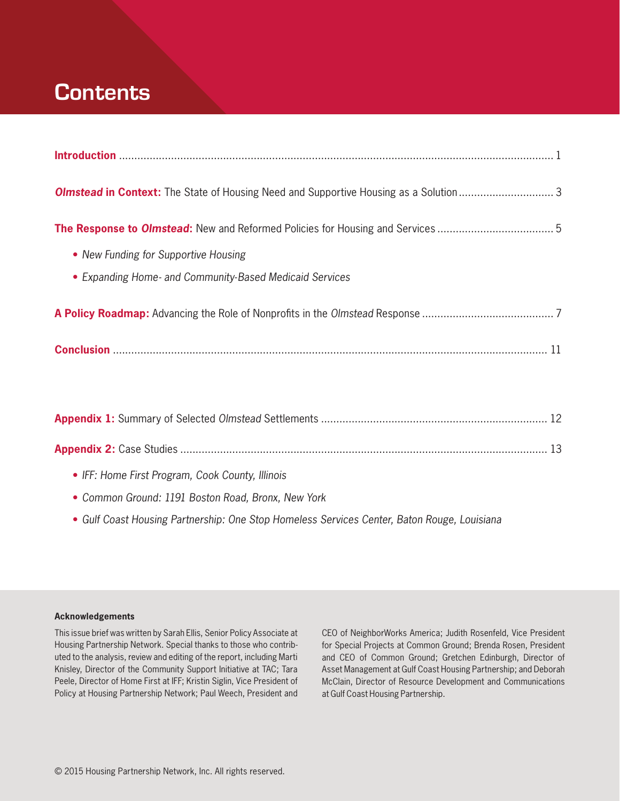## **Contents**

| • New Funding for Supportive Housing                    |  |  |  |  |
|---------------------------------------------------------|--|--|--|--|
| • Expanding Home- and Community-Based Medicaid Services |  |  |  |  |
|                                                         |  |  |  |  |
|                                                         |  |  |  |  |

| • IFF: Home First Program, Cook County, Illinois   |  |
|----------------------------------------------------|--|
| • Common Ground: 1191 Boston Road, Bronx, New York |  |

**•** *Gulf Coast Housing Partnership: One Stop Homeless Services Center, Baton Rouge, Louisiana*

**Acknowledgements**

This issue brief was written by Sarah Ellis, Senior Policy Associate at Housing Partnership Network. Special thanks to those who contributed to the analysis, review and editing of the report, including Marti Knisley, Director of the Community Support Initiative at TAC; Tara Peele, Director of Home First at IFF; Kristin Siglin, Vice President of Policy at Housing Partnership Network; Paul Weech, President and CEO of NeighborWorks America; Judith Rosenfeld, Vice President for Special Projects at Common Ground; Brenda Rosen, President and CEO of Common Ground; Gretchen Edinburgh, Director of Asset Management at Gulf Coast Housing Partnership; and Deborah McClain, Director of Resource Development and Communications at Gulf Coast Housing Partnership.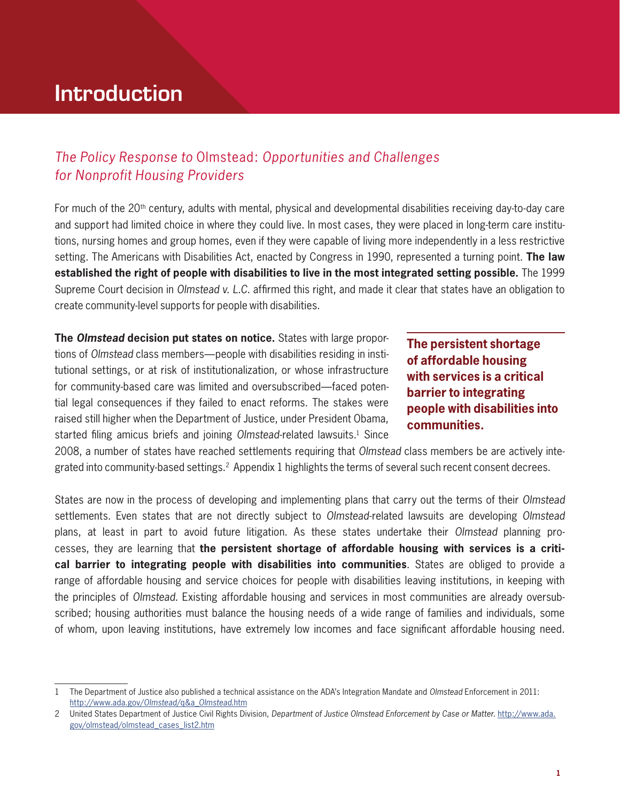## **Introduction**

### *The Policy Response to* Olmstead: *Opportunities and Challenges for Nonprofit Housing Providers*

For much of the 20th century, adults with mental, physical and developmental disabilities receiving day-to-day care and support had limited choice in where they could live. In most cases, they were placed in long-term care institutions, nursing homes and group homes, even if they were capable of living more independently in a less restrictive setting. The Americans with Disabilities Act, enacted by Congress in 1990, represented a turning point. **The law established the right of people with disabilities to live in the most integrated setting possible.** The 1999 Supreme Court decision in *Olmstead v. L.C.* affirmed this right, and made it clear that states have an obligation to create community-level supports for people with disabilities.

**The Olmstead decision put states on notice.** States with large proportions of *Olmstead* class members—people with disabilities residing in institutional settings, or at risk of institutionalization, or whose infrastructure for community-based care was limited and oversubscribed—faced potential legal consequences if they failed to enact reforms. The stakes were raised still higher when the Department of Justice, under President Obama, started filing amicus briefs and joining *Olmstead-related lawsuits*.<sup>1</sup> Since

**The persistent shortage of affordable housing with services is a critical barrier to integrating people with disabilities into communities.**

2008, a number of states have reached settlements requiring that *Olmstead* class members be are actively integrated into community-based settings.<sup>2</sup> Appendix 1 highlights the terms of several such recent consent decrees.

States are now in the process of developing and implementing plans that carry out the terms of their *Olmstead* settlements. Even states that are not directly subject to *Olmstead*-related lawsuits are developing *Olmstead*  plans, at least in part to avoid future litigation. As these states undertake their *Olmstead* planning processes, they are learning that **the persistent shortage of affordable housing with services is a critical barrier to integrating people with disabilities into communities**. States are obliged to provide a range of affordable housing and service choices for people with disabilities leaving institutions, in keeping with the principles of *Olmstead*. Existing affordable housing and services in most communities are already oversubscribed; housing authorities must balance the housing needs of a wide range of families and individuals, some of whom, upon leaving institutions, have extremely low incomes and face significant affordable housing need.

<sup>1</sup> The Department of Justice also published a technical assistance on the ADA's Integration Mandate and *Olmstead* Enforcement in 2011: http://www.ada.gov/*Olmstead*/q&a\_*Olmstead*.htm

<sup>2</sup> United States Department of Justice Civil Rights Division, *Department of Justice Olmstead Enforcement by Case or Matter.* http://www.ada. gov/olmstead/olmstead\_cases\_list2.htm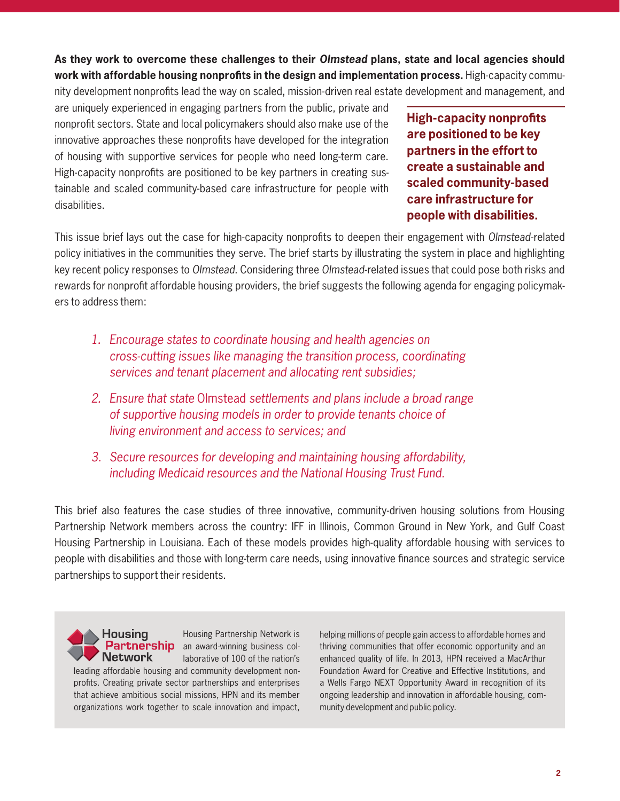**As they work to overcome these challenges to their** *Olmstead* **plans, state and local agencies should work with affordable housing nonprofits in the design and implementation process.** High-capacity community development nonprofits lead the way on scaled, mission-driven real estate development and management, and

are uniquely experienced in engaging partners from the public, private and nonprofit sectors. State and local policymakers should also make use of the innovative approaches these nonprofits have developed for the integration of housing with supportive services for people who need long-term care. High-capacity nonprofits are positioned to be key partners in creating sustainable and scaled community-based care infrastructure for people with disabilities.

**High-capacity nonprofits are positioned to be key partners in the effort to create a sustainable and scaled community-based care infrastructure for people with disabilities.**

This issue brief lays out the case for high-capacity nonprofits to deepen their engagement with *Olmstead*-related policy initiatives in the communities they serve. The brief starts by illustrating the system in place and highlighting key recent policy responses to *Olmstead*. Considering three *Olmstead*-related issues that could pose both risks and rewards for nonprofit affordable housing providers, the brief suggests the following agenda for engaging policymakers to address them:

- *1. Encourage states to coordinate housing and health agencies on cross-cutting issues like managing the transition process, coordinating services and tenant placement and allocating rent subsidies;*
- *2. Ensure that state* Olmstead *settlements and plans include a broad range of supportive housing models in order to provide tenants choice of living environment and access to services; and*
- *3. Secure resources for developing and maintaining housing affordability, including Medicaid resources and the National Housing Trust Fund.*

This brief also features the case studies of three innovative, community-driven housing solutions from Housing Partnership Network members across the country: IFF in Illinois, Common Ground in New York, and Gulf Coast Housing Partnership in Louisiana. Each of these models provides high-quality affordable housing with services to people with disabilities and those with long-term care needs, using innovative finance sources and strategic service partnerships to support their residents.



Housing Partnership Network is Partnership an award-winning business collaborative of 100 of the nation's

leading affordable housing and community development nonprofits. Creating private sector partnerships and enterprises that achieve ambitious social missions, HPN and its member organizations work together to scale innovation and impact,

helping millions of people gain access to affordable homes and thriving communities that offer economic opportunity and an enhanced quality of life. In 2013, HPN received a MacArthur Foundation Award for Creative and Effective Institutions, and a Wells Fargo NEXT Opportunity Award in recognition of its ongoing leadership and innovation in affordable housing, community development and public policy.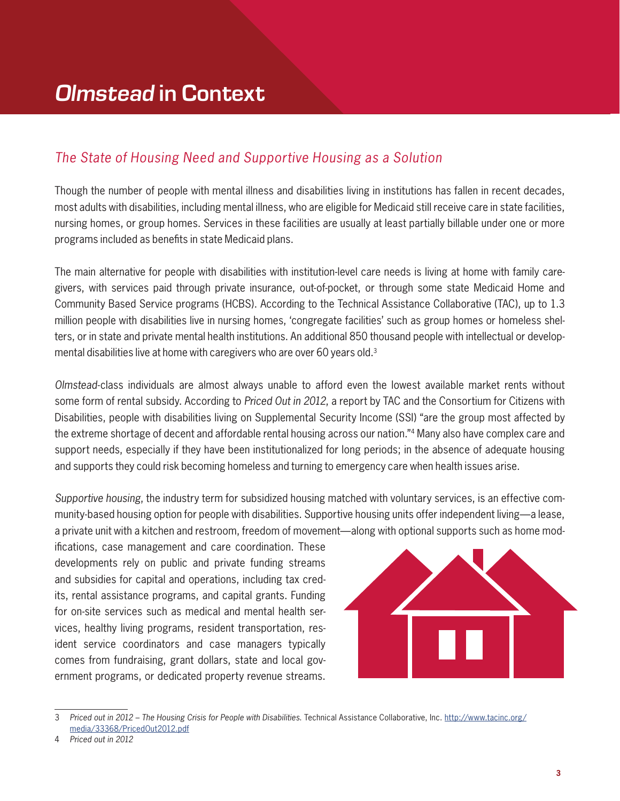### *The State of Housing Need and Supportive Housing as a Solution*

Though the number of people with mental illness and disabilities living in institutions has fallen in recent decades, most adults with disabilities, including mental illness, who are eligible for Medicaid still receive care in state facilities, nursing homes, or group homes. Services in these facilities are usually at least partially billable under one or more programs included as benefits in state Medicaid plans.

The main alternative for people with disabilities with institution-level care needs is living at home with family caregivers, with services paid through private insurance, out-of-pocket, or through some state Medicaid Home and Community Based Service programs (HCBS). According to the Technical Assistance Collaborative (TAC), up to 1.3 million people with disabilities live in nursing homes, 'congregate facilities' such as group homes or homeless shelters, or in state and private mental health institutions. An additional 850 thousand people with intellectual or developmental disabilities live at home with caregivers who are over 60 years old.3

*Olmstead*-class individuals are almost always unable to afford even the lowest available market rents without some form of rental subsidy. According to *Priced Out in 2012*, a report by TAC and the Consortium for Citizens with Disabilities, people with disabilities living on Supplemental Security Income (SSI) "are the group most affected by the extreme shortage of decent and affordable rental housing across our nation."4 Many also have complex care and support needs, especially if they have been institutionalized for long periods; in the absence of adequate housing and supports they could risk becoming homeless and turning to emergency care when health issues arise.

*Supportive housing*, the industry term for subsidized housing matched with voluntary services, is an effective community-based housing option for people with disabilities. Supportive housing units offer independent living—a lease, a private unit with a kitchen and restroom, freedom of movement—along with optional supports such as home mod-

ifications, case management and care coordination. These developments rely on public and private funding streams and subsidies for capital and operations, including tax credits, rental assistance programs, and capital grants. Funding for on-site services such as medical and mental health services, healthy living programs, resident transportation, resident service coordinators and case managers typically comes from fundraising, grant dollars, state and local government programs, or dedicated property revenue streams.



<sup>3</sup> *Priced out in 2012 – The Housing Crisis for People with Disabilities*. Technical Assistance Collaborative, Inc. http://www.tacinc.org/ media/33368/PricedOut2012.pdf

4 *Priced out in 2012*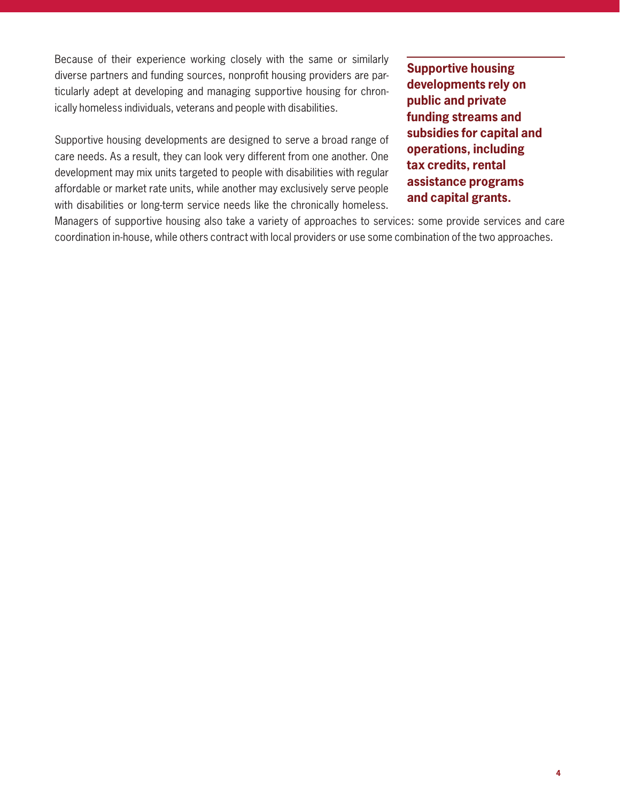Because of their experience working closely with the same or similarly diverse partners and funding sources, nonprofit housing providers are particularly adept at developing and managing supportive housing for chronically homeless individuals, veterans and people with disabilities.

Supportive housing developments are designed to serve a broad range of care needs. As a result, they can look very different from one another. One development may mix units targeted to people with disabilities with regular affordable or market rate units, while another may exclusively serve people with disabilities or long-term service needs like the chronically homeless.

**Supportive housing developments rely on public and private funding streams and subsidies for capital and operations, including tax credits, rental assistance programs and capital grants.**

Managers of supportive housing also take a variety of approaches to services: some provide services and care coordination in-house, while others contract with local providers or use some combination of the two approaches.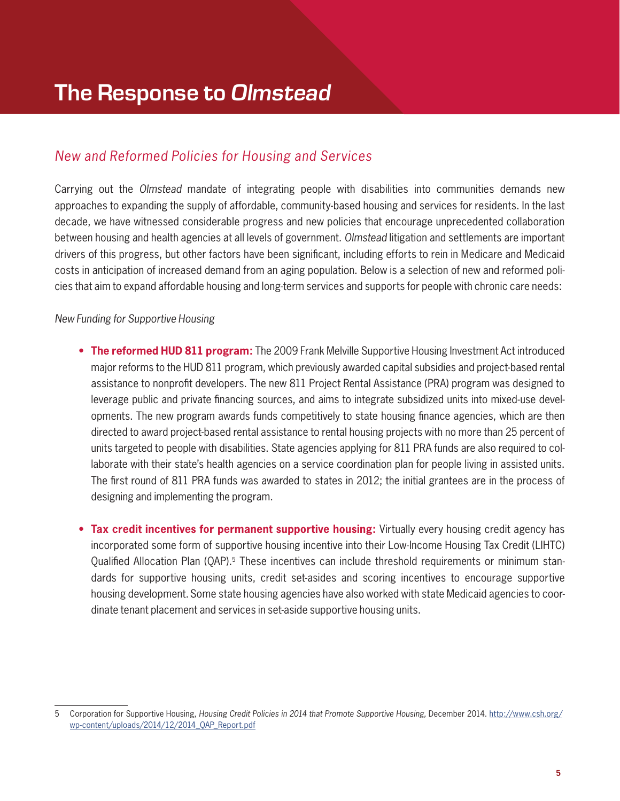### *New and Reformed Policies for Housing and Services*

Carrying out the *Olmstead* mandate of integrating people with disabilities into communities demands new approaches to expanding the supply of affordable, community-based housing and services for residents. In the last decade, we have witnessed considerable progress and new policies that encourage unprecedented collaboration between housing and health agencies at all levels of government. *Olmstead* litigation and settlements are important drivers of this progress, but other factors have been significant, including efforts to rein in Medicare and Medicaid costs in anticipation of increased demand from an aging population. Below is a selection of new and reformed policies that aim to expand affordable housing and long-term services and supports for people with chronic care needs:

### *New Funding for Supportive Housing*

- **The reformed HUD 811 program:** The 2009 Frank Melville Supportive Housing Investment Act introduced major reforms to the HUD 811 program, which previously awarded capital subsidies and project-based rental assistance to nonprofit developers. The new 811 Project Rental Assistance (PRA) program was designed to leverage public and private financing sources, and aims to integrate subsidized units into mixed-use developments. The new program awards funds competitively to state housing finance agencies, which are then directed to award project-based rental assistance to rental housing projects with no more than 25 percent of units targeted to people with disabilities. State agencies applying for 811 PRA funds are also required to collaborate with their state's health agencies on a service coordination plan for people living in assisted units. The first round of 811 PRA funds was awarded to states in 2012; the initial grantees are in the process of designing and implementing the program.
- **• Tax credit incentives for permanent supportive housing:** Virtually every housing credit agency has incorporated some form of supportive housing incentive into their Low-Income Housing Tax Credit (LIHTC) Qualified Allocation Plan (QAP).<sup>5</sup> These incentives can include threshold requirements or minimum standards for supportive housing units, credit set-asides and scoring incentives to encourage supportive housing development. Some state housing agencies have also worked with state Medicaid agencies to coordinate tenant placement and services in set-aside supportive housing units.

<sup>5</sup> Corporation for Supportive Housing, *Housing Credit Policies in 2014 that Promote Supportive Housing,* December 2014. http://www.csh.org/ wp-content/uploads/2014/12/2014\_QAP\_Report.pdf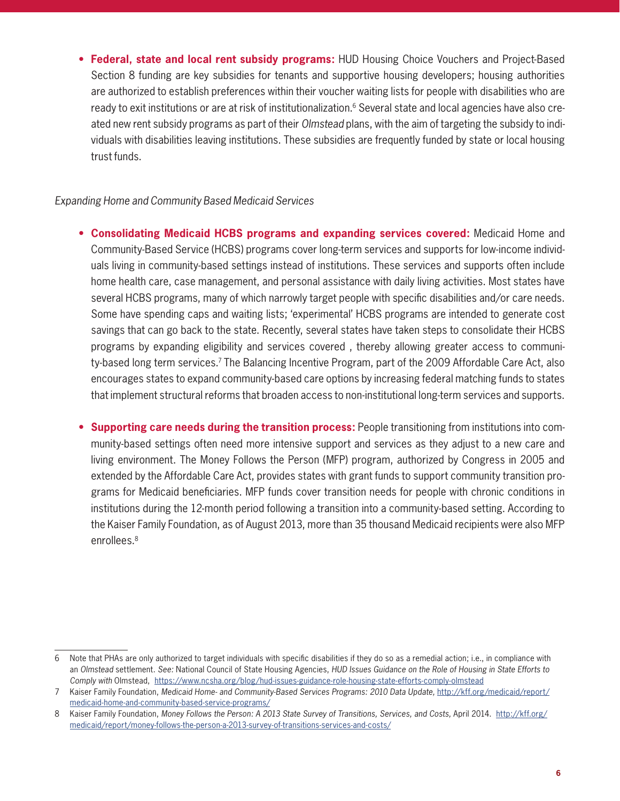**• Federal, state and local rent subsidy programs:** HUD Housing Choice Vouchers and Project-Based Section 8 funding are key subsidies for tenants and supportive housing developers; housing authorities are authorized to establish preferences within their voucher waiting lists for people with disabilities who are ready to exit institutions or are at risk of institutionalization.<sup>6</sup> Several state and local agencies have also created new rent subsidy programs as part of their *Olmstead* plans, with the aim of targeting the subsidy to individuals with disabilities leaving institutions. These subsidies are frequently funded by state or local housing trust funds.

### *Expanding Home and Community Based Medicaid Services*

- **• Consolidating Medicaid HCBS programs and expanding services covered:** Medicaid Home and Community-Based Service (HCBS) programs cover long-term services and supports for low-income individuals living in community-based settings instead of institutions. These services and supports often include home health care, case management, and personal assistance with daily living activities. Most states have several HCBS programs, many of which narrowly target people with specific disabilities and/or care needs. Some have spending caps and waiting lists; 'experimental' HCBS programs are intended to generate cost savings that can go back to the state. Recently, several states have taken steps to consolidate their HCBS programs by expanding eligibility and services covered , thereby allowing greater access to community-based long term services.<sup>7</sup> The Balancing Incentive Program, part of the 2009 Affordable Care Act, also encourages states to expand community-based care options by increasing federal matching funds to states that implement structural reforms that broaden access to non-institutional long-term services and supports.
- **• Supporting care needs during the transition process:** People transitioning from institutions into community-based settings often need more intensive support and services as they adjust to a new care and living environment. The Money Follows the Person (MFP) program, authorized by Congress in 2005 and extended by the Affordable Care Act, provides states with grant funds to support community transition programs for Medicaid beneficiaries. MFP funds cover transition needs for people with chronic conditions in institutions during the 12-month period following a transition into a community-based setting. According to the Kaiser Family Foundation, as of August 2013, more than 35 thousand Medicaid recipients were also MFP enrollees.<sup>8</sup>

<sup>6</sup> Note that PHAs are only authorized to target individuals with specific disabilities if they do so as a remedial action; i.e., in compliance with an *Olmstead* settlement. *See:* National Council of State Housing Agencies, *HUD Issues Guidance on the Role of Housing in State Efforts to Comply with* Olmstead, https://www.ncsha.org/blog/hud-issues-guidance-role-housing-state-efforts-comply-olmstead

<sup>7</sup> Kaiser Family Foundation, *Medicaid Home- and Community-Based Services Programs: 2010 Data Update,* http://kff.org/medicaid/report/ medicaid-home-and-community-based-service-programs/

<sup>8</sup> Kaiser Family Foundation, *Money Follows the Person: A 2013 State Survey of Transitions, Services, and Costs,* April 2014. http://kff.org/ medicaid/report/money-follows-the-person-a-2013-survey-of-transitions-services-and-costs/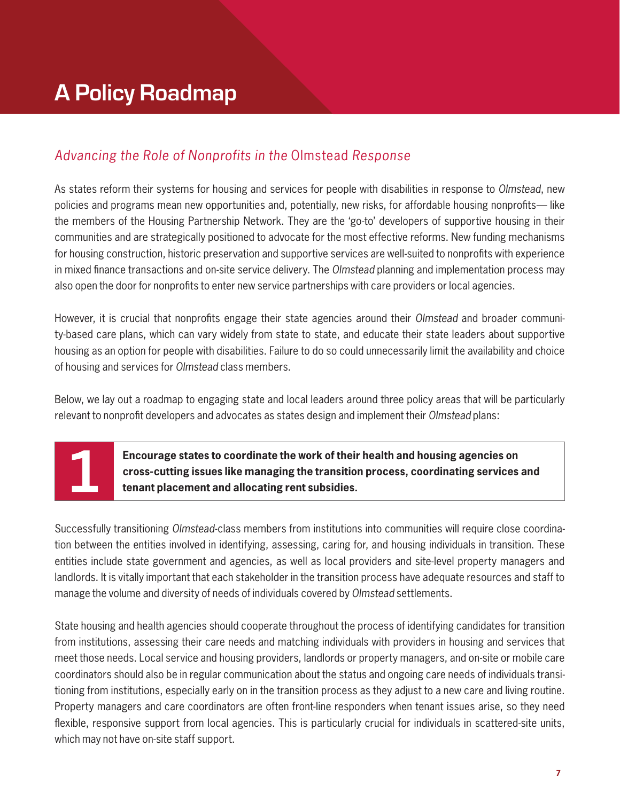## **A Policy Roadmap**

### *Advancing the Role of Nonprofits in the* Olmstead *Response*

As states reform their systems for housing and services for people with disabilities in response to *Olmstead*, new policies and programs mean new opportunities and, potentially, new risks, for affordable housing nonprofits— like the members of the Housing Partnership Network. They are the 'go-to' developers of supportive housing in their communities and are strategically positioned to advocate for the most effective reforms. New funding mechanisms for housing construction, historic preservation and supportive services are well-suited to nonprofits with experience in mixed finance transactions and on-site service delivery. The *Olmstead* planning and implementation process may also open the door for nonprofits to enter new service partnerships with care providers or local agencies.

However, it is crucial that nonprofits engage their state agencies around their *Olmstead* and broader community-based care plans, which can vary widely from state to state, and educate their state leaders about supportive housing as an option for people with disabilities. Failure to do so could unnecessarily limit the availability and choice of housing and services for *Olmstead* class members.

Below, we lay out a roadmap to engaging state and local leaders around three policy areas that will be particularly relevant to nonprofit developers and advocates as states design and implement their *Olmstead* plans:

**Encourage states to coordinate the work of their health and housing agencies on cross-cutting issues like managing the transition process, coordinating services and tenant placement and allocating rent subsidies.**

Successfully transitioning *Olmstead*-class members from institutions into communities will require close coordination between the entities involved in identifying, assessing, caring for, and housing individuals in transition. These entities include state government and agencies, as well as local providers and site-level property managers and landlords. It is vitally important that each stakeholder in the transition process have adequate resources and staff to manage the volume and diversity of needs of individuals covered by *Olmstead* settlements.

State housing and health agencies should cooperate throughout the process of identifying candidates for transition from institutions, assessing their care needs and matching individuals with providers in housing and services that meet those needs. Local service and housing providers, landlords or property managers, and on-site or mobile care coordinators should also be in regular communication about the status and ongoing care needs of individuals transitioning from institutions, especially early on in the transition process as they adjust to a new care and living routine. Property managers and care coordinators are often front-line responders when tenant issues arise, so they need flexible, responsive support from local agencies. This is particularly crucial for individuals in scattered-site units, which may not have on-site staff support.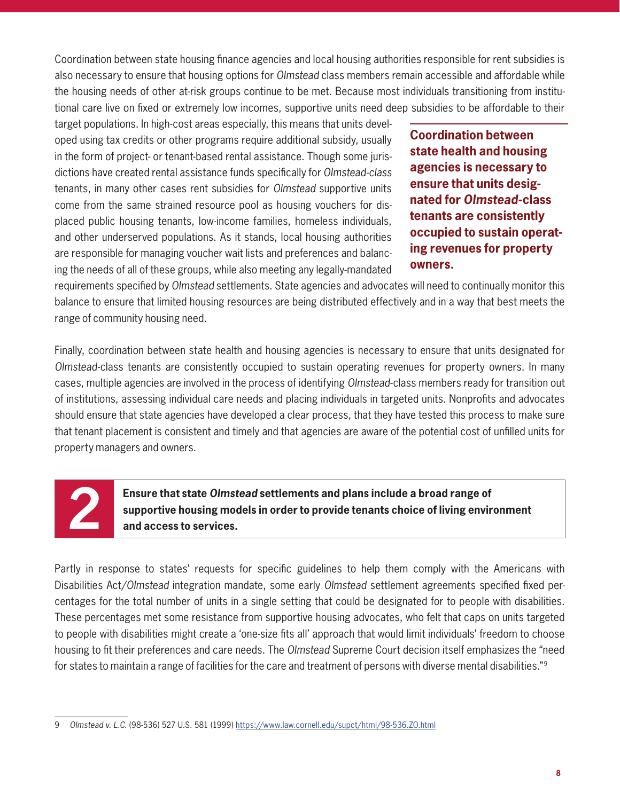Coordination between state housing finance agencies and local housing authorities responsible for rent subsidies is also necessary to ensure that housing options for *Olmstead* class members remain accessible and affordable while the housing needs of other at-risk groups continue to be met. Because most individuals transitioning from institutional care live on fixed or extremely low incomes, supportive units need deep subsidies to be affordable to their

target populations. In high-cost areas especially, this means that units developed using tax credits or other programs require additional subsidy, usually in the form of project- or tenant-based rental assistance. Though some jurisdictions have created rental assistance funds specifically for *Olmstead-class* tenants, in many other cases rent subsidies for *Olmstead* supportive units come from the same strained resource pool as housing vouchers for displaced public housing tenants, low-income families, homeless individuals, and other underserved populations. As it stands, local housing authorities are responsible for managing voucher wait lists and preferences and balancing the needs of all of these groups, while also meeting any legally-mandated

**Coordination between state health and housing agencies is necessary to ensure that units designated for** *Olmstead***-class tenants are consistently occupied to sustain operating revenues for property owners.**

requirements specified by *Olmstead* settlements. State agencies and advocates will need to continually monitor this balance to ensure that limited housing resources are being distributed effectively and in a way that best meets the range of community housing need.

Finally, coordination between state health and housing agencies is necessary to ensure that units designated for *Olmstead*-class tenants are consistently occupied to sustain operating revenues for property owners. In many cases, multiple agencies are involved in the process of identifying *Olmstead*-class members ready for transition out of institutions, assessing individual care needs and placing individuals in targeted units. Nonprofits and advocates should ensure that state agencies have developed a clear process, that they have tested this process to make sure that tenant placement is consistent and timely and that agencies are aware of the potential cost of unfilled units for property managers and owners.

**2 Ensure that state** *Olmstead* **settlements and plans include a broad range of supportive housing models in order to provide tenants choice of living environ and access to services. supportive housing models in order to provide tenants choice of living environment and access to services.**

Partly in response to states' requests for specific guidelines to help them comply with the Americans with Disabilities Act/*Olmstead* integration mandate, some early *Olmstead* settlement agreements specified fixed percentages for the total number of units in a single setting that could be designated for to people with disabilities. These percentages met some resistance from supportive housing advocates, who felt that caps on units targeted to people with disabilities might create a 'one-size fits all' approach that would limit individuals' freedom to choose housing to fit their preferences and care needs. The *Olmstead* Supreme Court decision itself emphasizes the "need for states to maintain a range of facilities for the care and treatment of persons with diverse mental disabilities."9

<sup>9</sup> Olmstead v. L.C. (98-536) 527 U.S. 581 (1999) https://www.law.cornell.edu/supct/html/98-536.ZO.html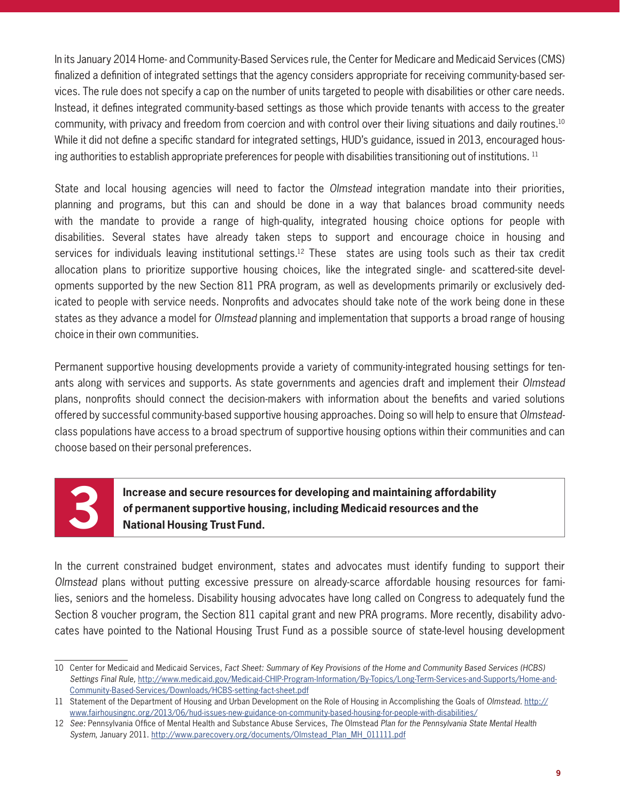In its January 2014 Home- and Community-Based Services rule, the Center for Medicare and Medicaid Services (CMS) finalized a definition of integrated settings that the agency considers appropriate for receiving community-based services. The rule does not specify a cap on the number of units targeted to people with disabilities or other care needs. Instead, it defines integrated community-based settings as those which provide tenants with access to the greater community, with privacy and freedom from coercion and with control over their living situations and daily routines.10 While it did not define a specific standard for integrated settings, HUD's guidance, issued in 2013, encouraged housing authorities to establish appropriate preferences for people with disabilities transitioning out of institutions. <sup>11</sup>

State and local housing agencies will need to factor the *Olmstead* integration mandate into their priorities, planning and programs, but this can and should be done in a way that balances broad community needs with the mandate to provide a range of high-quality, integrated housing choice options for people with disabilities. Several states have already taken steps to support and encourage choice in housing and services for individuals leaving institutional settings.<sup>12</sup> These states are using tools such as their tax credit allocation plans to prioritize supportive housing choices, like the integrated single- and scattered-site developments supported by the new Section 811 PRA program, as well as developments primarily or exclusively dedicated to people with service needs. Nonprofits and advocates should take note of the work being done in these states as they advance a model for *Olmstead* planning and implementation that supports a broad range of housing choice in their own communities.

Permanent supportive housing developments provide a variety of community-integrated housing settings for tenants along with services and supports. As state governments and agencies draft and implement their *Olmstead* plans, nonprofits should connect the decision-makers with information about the benefits and varied solutions offered by successful community-based supportive housing approaches. Doing so will help to ensure that *Olmstead*class populations have access to a broad spectrum of supportive housing options within their communities and can choose based on their personal preferences.

**3 Increase and secure resources for developing and maintaining affordability of permanent supportive housing, including Medicaid resources and the National Housing Trust Fund.**

In the current constrained budget environment, states and advocates must identify funding to support their *Olmstead* plans without putting excessive pressure on already-scarce affordable housing resources for families, seniors and the homeless. Disability housing advocates have long called on Congress to adequately fund the Section 8 voucher program, the Section 811 capital grant and new PRA programs. More recently, disability advocates have pointed to the National Housing Trust Fund as a possible source of state-level housing development

<sup>10</sup> Center for Medicaid and Medicaid Services, *Fact Sheet: Summary of Key Provisions of the Home and Community Based Services (HCBS) Settings Final Rule,* http://www.medicaid.gov/Medicaid-CHIP-Program-Information/By-Topics/Long-Term-Services-and-Supports/Home-and-Community-Based-Services/Downloads/HCBS-setting-fact-sheet.pdf

<sup>11</sup> Statement of the Department of Housing and Urban Development on the Role of Housing in Accomplishing the Goals of Olmstead. http:// www.fairhousingnc.org/2013/06/hud-issues-new-guidance-on-community-based-housing-for-people-with-disabilities/

<sup>12</sup> *See:* Pennsylvania Office of Mental Health and Substance Abuse Services, *The* Olmstead *Plan for the Pennsylvania State Mental Health System*, January 2011. http://www.parecovery.org/documents/Olmstead\_Plan\_MH\_011111.pdf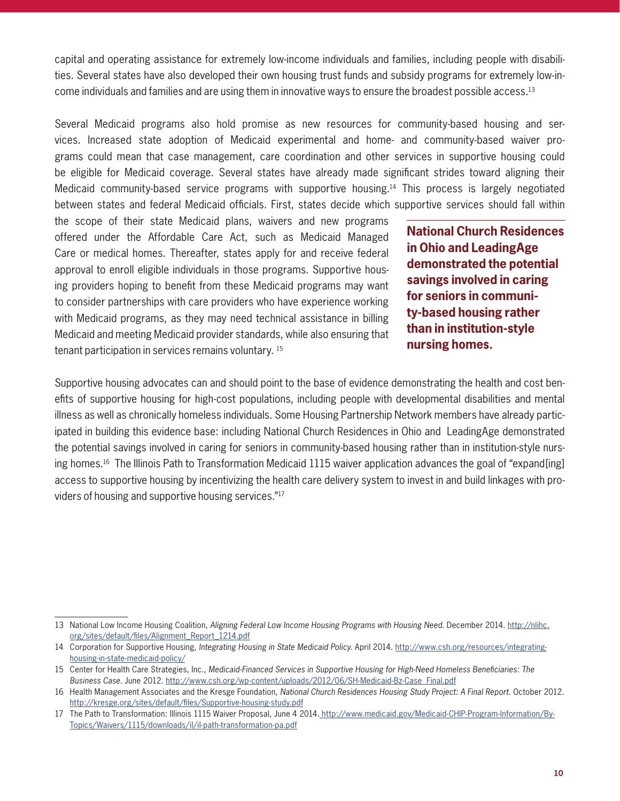capital and operating assistance for extremely low-income individuals and families, including people with disabilities. Several states have also developed their own housing trust funds and subsidy programs for extremely low-income individuals and families and are using them in innovative ways to ensure the broadest possible access.13

Several Medicaid programs also hold promise as new resources for community-based housing and services. Increased state adoption of Medicaid experimental and home- and community-based waiver programs could mean that case management, care coordination and other services in supportive housing could be eligible for Medicaid coverage. Several states have already made significant strides toward aligning their Medicaid community-based service programs with supportive housing.14 This process is largely negotiated between states and federal Medicaid officials. First, states decide which supportive services should fall within

the scope of their state Medicaid plans, waivers and new programs offered under the Affordable Care Act, such as Medicaid Managed Care or medical homes. Thereafter, states apply for and receive federal approval to enroll eligible individuals in those programs. Supportive housing providers hoping to benefit from these Medicaid programs may want to consider partnerships with care providers who have experience working with Medicaid programs, as they may need technical assistance in billing Medicaid and meeting Medicaid provider standards, while also ensuring that tenant participation in services remains voluntary. 15

**National Church Residences in Ohio and LeadingAge demonstrated the potential savings involved in caring for seniors in community-based housing rather than in institution-style nursing homes.**

Supportive housing advocates can and should point to the base of evidence demonstrating the health and cost benefits of supportive housing for high-cost populations, including people with developmental disabilities and mental illness as well as chronically homeless individuals. Some Housing Partnership Network members have already participated in building this evidence base: including National Church Residences in Ohio and LeadingAge demonstrated the potential savings involved in caring for seniors in community-based housing rather than in institution-style nursing homes.16 The Illinois Path to Transformation Medicaid 1115 waiver application advances the goal of "expand[ing] access to supportive housing by incentivizing the health care delivery system to invest in and build linkages with providers of housing and supportive housing services."17

<sup>13</sup> National Low Income Housing Coalition, *Aligning Federal Low Income Housing Programs with Housing Need.* December 2014. http://nlihc. org/sites/default/files/Alignment\_Report\_1214.pdf

<sup>14</sup> Corporation for Supportive Housing, *Integrating Housing in State Medicaid Policy.* April 2014. http://www.csh.org/resources/integratinghousing-in-state-medicaid-policy/

<sup>15</sup> Center for Health Care Strategies, Inc., *Medicaid-Financed Services in Supportive Housing for High-Need Homeless Beneficiaries: The Business Case.* June 2012. http://www.csh.org/wp-content/uploads/2012/06/SH-Medicaid-Bz-Case\_Final.pdf

<sup>16</sup> Health Management Associates and the Kresge Foundation, *National Church Residences Housing Study Project: A Final Report.* October 2012. http://kresge.org/sites/default/files/Supportive-housing-study.pdf

<sup>17</sup> The Path to Transformation: Illinois 1115 Waiver Proposal, June 4 2014. http://www.medicaid.gov/Medicaid-CHIP-Program-Information/By-Topics/Waivers/1115/downloads/il/il-path-transformation-pa.pdf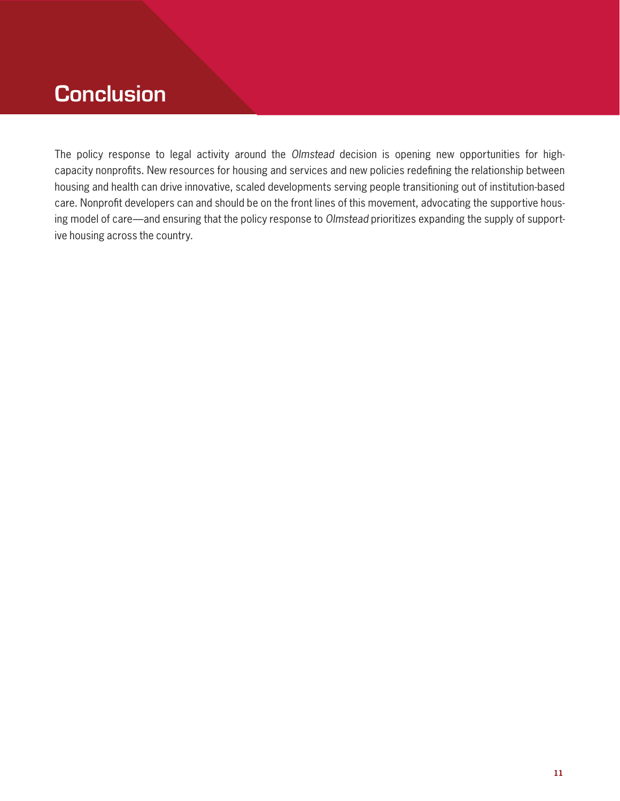## **Conclusion**

The policy response to legal activity around the *Olmstead* decision is opening new opportunities for highcapacity nonprofits. New resources for housing and services and new policies redefining the relationship between housing and health can drive innovative, scaled developments serving people transitioning out of institution-based care. Nonprofit developers can and should be on the front lines of this movement, advocating the supportive housing model of care—and ensuring that the policy response to *Olmstead* prioritizes expanding the supply of supportive housing across the country.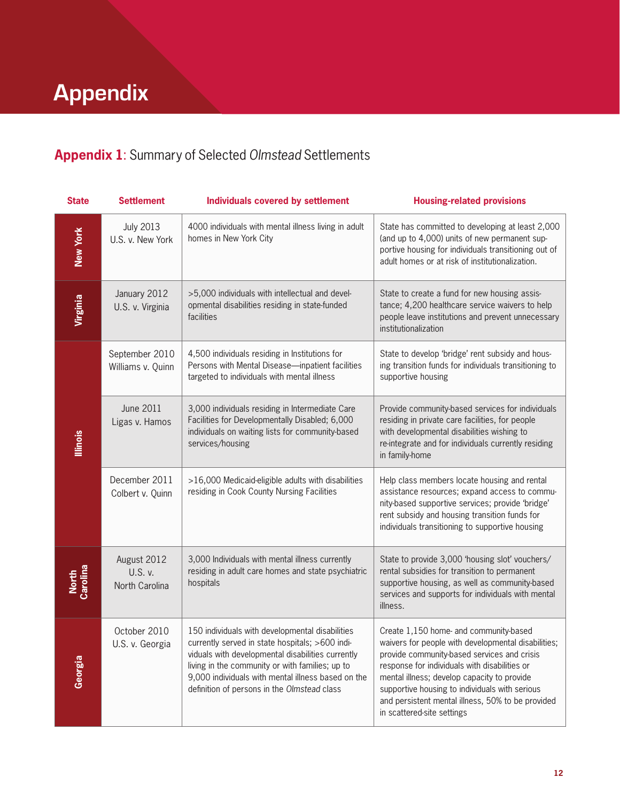## **Appendix**

## **Appendix 1**: Summary of Selected *Olmstead* Settlements

| <b>State</b>      | <b>Settlement</b>                        | <b>Individuals covered by settlement</b>                                                                                                                                                                                                                                                                        | <b>Housing-related provisions</b>                                                                                                                                                                                                                                                                                                                                                 |
|-------------------|------------------------------------------|-----------------------------------------------------------------------------------------------------------------------------------------------------------------------------------------------------------------------------------------------------------------------------------------------------------------|-----------------------------------------------------------------------------------------------------------------------------------------------------------------------------------------------------------------------------------------------------------------------------------------------------------------------------------------------------------------------------------|
| New York          | <b>July 2013</b><br>U.S. v. New York     | 4000 individuals with mental illness living in adult<br>homes in New York City                                                                                                                                                                                                                                  | State has committed to developing at least 2,000<br>(and up to 4,000) units of new permanent sup-<br>portive housing for individuals transitioning out of<br>adult homes or at risk of institutionalization.                                                                                                                                                                      |
| Virginia          | January 2012<br>U.S. v. Virginia         | >5,000 individuals with intellectual and devel-<br>opmental disabilities residing in state-funded<br>facilities                                                                                                                                                                                                 | State to create a fund for new housing assis-<br>tance; 4,200 healthcare service waivers to help<br>people leave institutions and prevent unnecessary<br>institutionalization                                                                                                                                                                                                     |
| <b>Illinois</b>   | September 2010<br>Williams v. Quinn      | 4,500 individuals residing in Institutions for<br>Persons with Mental Disease-inpatient facilities<br>targeted to individuals with mental illness                                                                                                                                                               | State to develop 'bridge' rent subsidy and hous-<br>ing transition funds for individuals transitioning to<br>supportive housing                                                                                                                                                                                                                                                   |
|                   | <b>June 2011</b><br>Ligas v. Hamos       | 3,000 individuals residing in Intermediate Care<br>Facilities for Developmentally Disabled; 6,000<br>individuals on waiting lists for community-based<br>services/housing                                                                                                                                       | Provide community-based services for individuals<br>residing in private care facilities, for people<br>with developmental disabilities wishing to<br>re-integrate and for individuals currently residing<br>in family-home                                                                                                                                                        |
|                   | December 2011<br>Colbert v. Quinn        | >16,000 Medicaid-eligible adults with disabilities<br>residing in Cook County Nursing Facilities                                                                                                                                                                                                                | Help class members locate housing and rental<br>assistance resources; expand access to commu-<br>nity-based supportive services; provide 'bridge'<br>rent subsidy and housing transition funds for<br>individuals transitioning to supportive housing                                                                                                                             |
| North<br>Carolina | August 2012<br>U.S. v.<br>North Carolina | 3,000 Individuals with mental illness currently<br>residing in adult care homes and state psychiatric<br>hospitals                                                                                                                                                                                              | State to provide 3,000 'housing slot' vouchers/<br>rental subsidies for transition to permanent<br>supportive housing, as well as community-based<br>services and supports for individuals with mental<br>illness.                                                                                                                                                                |
| Georgia           | October 2010<br>U.S. v. Georgia          | 150 individuals with developmental disabilities<br>currently served in state hospitals; >600 indi-<br>viduals with developmental disabilities currently<br>living in the community or with families; up to<br>9,000 individuals with mental illness based on the<br>definition of persons in the Olmstead class | Create 1,150 home- and community-based<br>waivers for people with developmental disabilities;<br>provide community-based services and crisis<br>response for individuals with disabilities or<br>mental illness; develop capacity to provide<br>supportive housing to individuals with serious<br>and persistent mental illness, 50% to be provided<br>in scattered-site settings |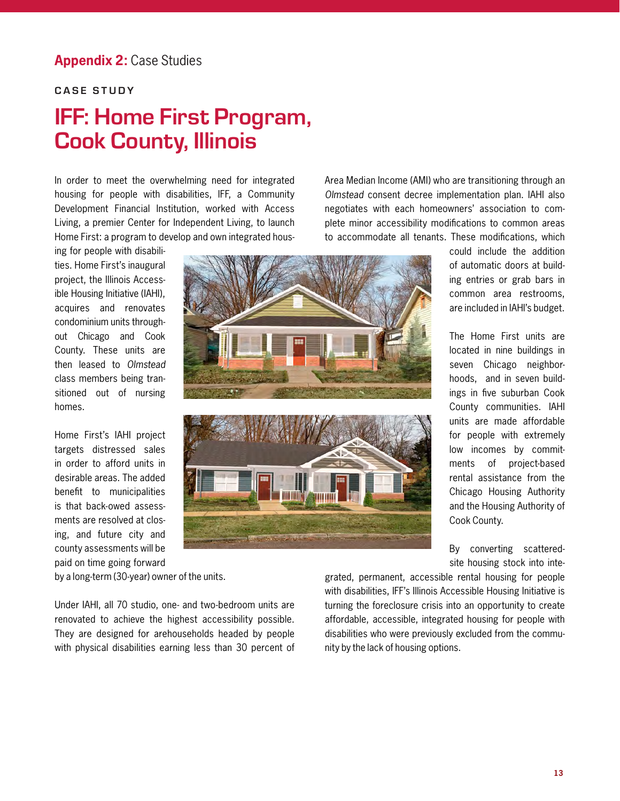### **Appendix 2:** Case Studies

### **CASE STUDY**

## **IFF: Home First Program, Cook County, Illinois**

In order to meet the overwhelming need for integrated housing for people with disabilities, IFF, a Community Development Financial Institution, worked with Access Living, a premier Center for Independent Living, to launch Home First: a program to develop and own integrated hous-

ing for people with disabilities. Home First's inaugural project, the Illinois Accessible Housing Initiative (IAHI), acquires and renovates condominium units throughout Chicago and Cook County. These units are then leased to *Olmstead* class members being transitioned out of nursing homes.

Home First's IAHI project targets distressed sales in order to afford units in desirable areas. The added benefit to municipalities is that back-owed assessments are resolved at closing, and future city and county assessments will be paid on time going forward



Area Median Income (AMI) who are transitioning through an *Olmstead* consent decree implementation plan. IAHI also negotiates with each homeowners' association to complete minor accessibility modifications to common areas to accommodate all tenants. These modifications, which

> could include the addition of automatic doors at building entries or grab bars in common area restrooms, are included in IAHI's budget.

The Home First units are located in nine buildings in seven Chicago neighborhoods, and in seven buildings in five suburban Cook County communities. IAHI units are made affordable for people with extremely low incomes by commitments of project-based rental assistance from the Chicago Housing Authority and the Housing Authority of Cook County.

By converting scatteredsite housing stock into inte-

by a long-term (30-year) owner of the units.

Under IAHI, all 70 studio, one- and two-bedroom units are renovated to achieve the highest accessibility possible. They are designed for arehouseholds headed by people with physical disabilities earning less than 30 percent of

grated, permanent, accessible rental housing for people with disabilities, IFF's Illinois Accessible Housing Initiative is turning the foreclosure crisis into an opportunity to create affordable, accessible, integrated housing for people with disabilities who were previously excluded from the community by the lack of housing options.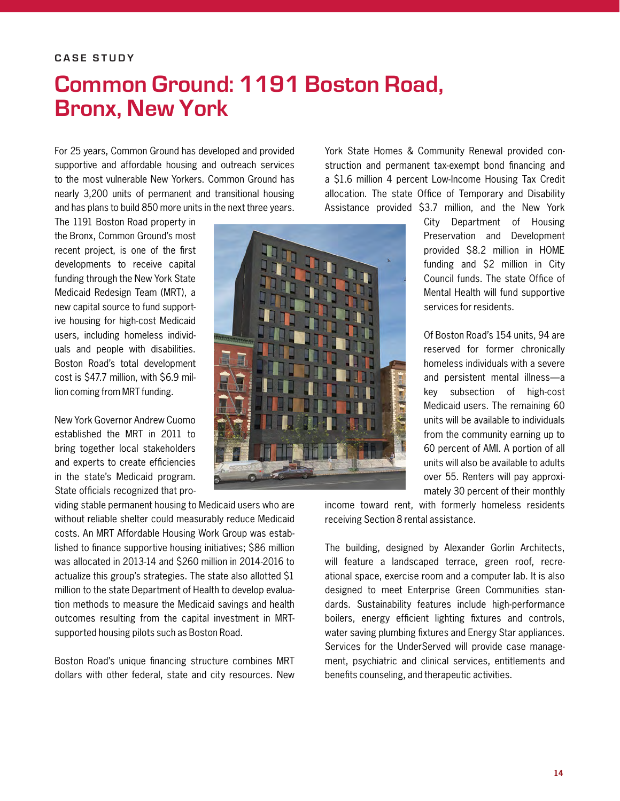## **Common Ground: 1191 Boston Road, Bronx, New York**

For 25 years, Common Ground has developed and provided supportive and affordable housing and outreach services to the most vulnerable New Yorkers. Common Ground has nearly 3,200 units of permanent and transitional housing and has plans to build 850 more units in the next three years.

York State Homes & Community Renewal provided construction and permanent tax-exempt bond financing and a \$1.6 million 4 percent Low-Income Housing Tax Credit allocation. The state Office of Temporary and Disability Assistance provided \$3.7 million, and the New York

The 1191 Boston Road property in the Bronx, Common Ground's most recent project, is one of the first developments to receive capital funding through the New York State Medicaid Redesign Team (MRT), a new capital source to fund supportive housing for high-cost Medicaid users, including homeless individuals and people with disabilities. Boston Road's total development cost is \$47.7 million, with \$6.9 million coming from MRT funding.

New York Governor Andrew Cuomo established the MRT in 2011 to bring together local stakeholders and experts to create efficiencies in the state's Medicaid program. State officials recognized that pro-

viding stable permanent housing to Medicaid users who are without reliable shelter could measurably reduce Medicaid costs. An MRT Affordable Housing Work Group was established to finance supportive housing initiatives; \$86 million was allocated in 2013-14 and \$260 million in 2014-2016 to actualize this group's strategies. The state also allotted \$1 million to the state Department of Health to develop evaluation methods to measure the Medicaid savings and health outcomes resulting from the capital investment in MRTsupported housing pilots such as Boston Road.

Boston Road's unique financing structure combines MRT dollars with other federal, state and city resources. New



City Department of Housing Preservation and Development provided \$8.2 million in HOME funding and \$2 million in City Council funds. The state Office of Mental Health will fund supportive services for residents.

Of Boston Road's 154 units, 94 are reserved for former chronically homeless individuals with a severe and persistent mental illness—a key subsection of high-cost Medicaid users. The remaining 60 units will be available to individuals from the community earning up to 60 percent of AMI. A portion of all units will also be available to adults over 55. Renters will pay approximately 30 percent of their monthly

income toward rent, with formerly homeless residents receiving Section 8 rental assistance.

The building, designed by Alexander Gorlin Architects, will feature a landscaped terrace, green roof, recreational space, exercise room and a computer lab. It is also designed to meet Enterprise Green Communities standards. Sustainability features include high-performance boilers, energy efficient lighting fixtures and controls, water saving plumbing fixtures and Energy Star appliances. Services for the UnderServed will provide case management, psychiatric and clinical services, entitlements and benefits counseling, and therapeutic activities.